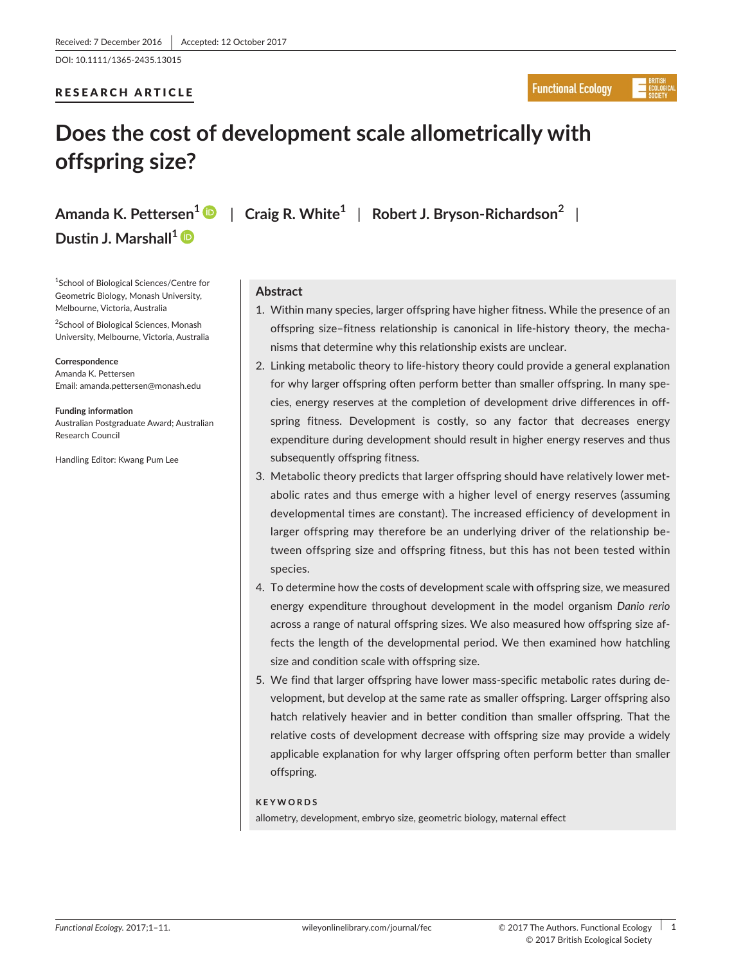DOI: 10.1111/1365-2435.13015

## RESEARCH ARTICLE

## **Functional Ecology**

# **Does the cost of development scale allometrically with offspring size?**

**Dustin J. Marshall[1](http://orcid.org/0000-0001-6651-6219)**

1 School of Biological Sciences/Centre for Geometric Biology, Monash University, Melbourne, Victoria, Australia

<sup>2</sup>School of Biological Sciences, Monash University, Melbourne, Victoria, Australia

**Correspondence** Amanda K. Pettersen Email: [amanda.pettersen@monash.edu](mailto:amanda.pettersen@monash.edu)

**Funding information** Australian Postgraduate Award; Australian Research Council

Handling Editor: Kwang Pum Lee

**Amanda K. Pettersen[1](http://orcid.org/0000-0001-6191-6563)** | **Craig R. White<sup>1</sup>** | **Robert J. Bryson-Richardson<sup>2</sup>** |

## **Abstract**

- 1. Within many species, larger offspring have higher fitness. While the presence of an offspring size–fitness relationship is canonical in life-history theory, the mechanisms that determine why this relationship exists are unclear.
- 2. Linking metabolic theory to life-history theory could provide a general explanation for why larger offspring often perform better than smaller offspring. In many species, energy reserves at the completion of development drive differences in offspring fitness. Development is costly, so any factor that decreases energy expenditure during development should result in higher energy reserves and thus subsequently offspring fitness.
- 3. Metabolic theory predicts that larger offspring should have relatively lower metabolic rates and thus emerge with a higher level of energy reserves (assuming developmental times are constant). The increased efficiency of development in larger offspring may therefore be an underlying driver of the relationship between offspring size and offspring fitness, but this has not been tested within species.
- 4. To determine how the costs of development scale with offspring size, we measured energy expenditure throughout development in the model organism *Danio rerio* across a range of natural offspring sizes. We also measured how offspring size affects the length of the developmental period. We then examined how hatchling size and condition scale with offspring size.
- 5. We find that larger offspring have lower mass-specific metabolic rates during development, but develop at the same rate as smaller offspring. Larger offspring also hatch relatively heavier and in better condition than smaller offspring. That the relative costs of development decrease with offspring size may provide a widely applicable explanation for why larger offspring often perform better than smaller offspring.

#### **KEYWORDS**

allometry, development, embryo size, geometric biology, maternal effect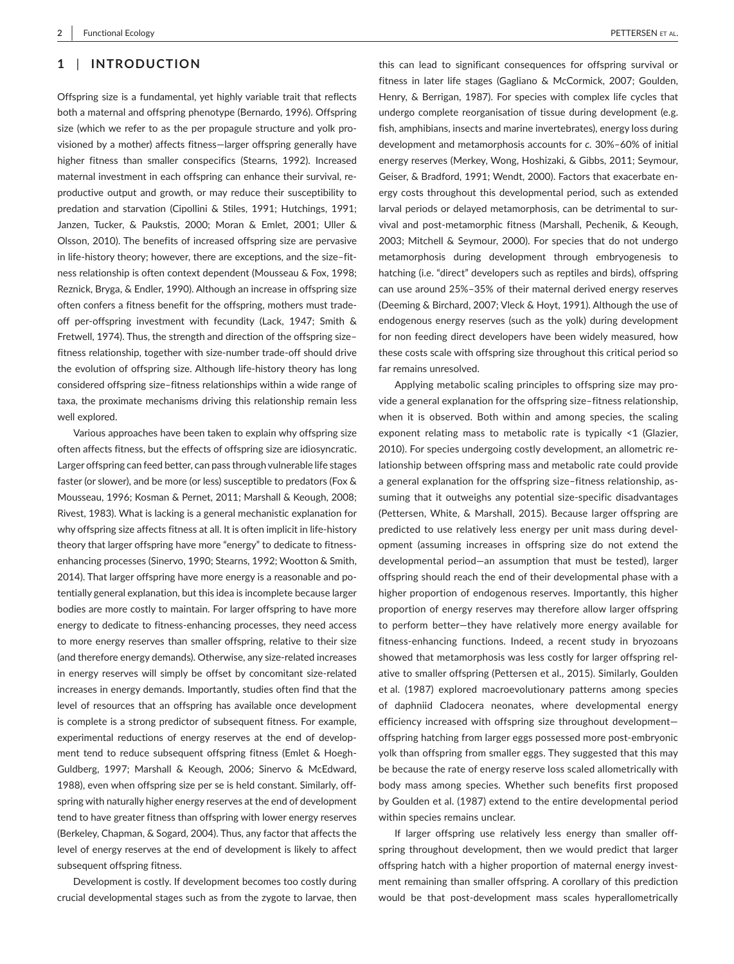#### **1** | **INTRODUCTION**

Offspring size is a fundamental, yet highly variable trait that reflects both a maternal and offspring phenotype (Bernardo, 1996). Offspring size (which we refer to as the per propagule structure and yolk provisioned by a mother) affects fitness—larger offspring generally have higher fitness than smaller conspecifics (Stearns, 1992). Increased maternal investment in each offspring can enhance their survival, reproductive output and growth, or may reduce their susceptibility to predation and starvation (Cipollini & Stiles, 1991; Hutchings, 1991; Janzen, Tucker, & Paukstis, 2000; Moran & Emlet, 2001; Uller & Olsson, 2010). The benefits of increased offspring size are pervasive in life-history theory; however, there are exceptions, and the size–fitness relationship is often context dependent (Mousseau & Fox, 1998; Reznick, Bryga, & Endler, 1990). Although an increase in offspring size often confers a fitness benefit for the offspring, mothers must tradeoff per-offspring investment with fecundity (Lack, 1947; Smith & Fretwell, 1974). Thus, the strength and direction of the offspring size– fitness relationship, together with size-number trade-off should drive the evolution of offspring size. Although life-history theory has long considered offspring size–fitness relationships within a wide range of taxa, the proximate mechanisms driving this relationship remain less well explored.

Various approaches have been taken to explain why offspring size often affects fitness, but the effects of offspring size are idiosyncratic. Larger offspring can feed better, can pass through vulnerable life stages faster (or slower), and be more (or less) susceptible to predators (Fox & Mousseau, 1996; Kosman & Pernet, 2011; Marshall & Keough, 2008; Rivest, 1983). What is lacking is a general mechanistic explanation for why offspring size affects fitness at all. It is often implicit in life-history theory that larger offspring have more "energy" to dedicate to fitnessenhancing processes (Sinervo, 1990; Stearns, 1992; Wootton & Smith, 2014). That larger offspring have more energy is a reasonable and potentially general explanation, but this idea is incomplete because larger bodies are more costly to maintain. For larger offspring to have more energy to dedicate to fitness-enhancing processes, they need access to more energy reserves than smaller offspring, relative to their size (and therefore energy demands). Otherwise, any size-related increases in energy reserves will simply be offset by concomitant size-related increases in energy demands. Importantly, studies often find that the level of resources that an offspring has available once development is complete is a strong predictor of subsequent fitness. For example, experimental reductions of energy reserves at the end of development tend to reduce subsequent offspring fitness (Emlet & Hoegh-Guldberg, 1997; Marshall & Keough, 2006; Sinervo & McEdward, 1988), even when offspring size per se is held constant. Similarly, offspring with naturally higher energy reserves at the end of development tend to have greater fitness than offspring with lower energy reserves (Berkeley, Chapman, & Sogard, 2004). Thus, any factor that affects the level of energy reserves at the end of development is likely to affect subsequent offspring fitness.

Development is costly. If development becomes too costly during crucial developmental stages such as from the zygote to larvae, then

this can lead to significant consequences for offspring survival or fitness in later life stages (Gagliano & McCormick, 2007; Goulden, Henry, & Berrigan, 1987). For species with complex life cycles that undergo complete reorganisation of tissue during development (e.g. fish, amphibians, insects and marine invertebrates), energy loss during development and metamorphosis accounts for *c.* 30%–60% of initial energy reserves (Merkey, Wong, Hoshizaki, & Gibbs, 2011; Seymour, Geiser, & Bradford, 1991; Wendt, 2000). Factors that exacerbate energy costs throughout this developmental period, such as extended larval periods or delayed metamorphosis, can be detrimental to survival and post-metamorphic fitness (Marshall, Pechenik, & Keough, 2003; Mitchell & Seymour, 2000). For species that do not undergo metamorphosis during development through embryogenesis to hatching (i.e. "direct" developers such as reptiles and birds), offspring can use around 25%–35% of their maternal derived energy reserves (Deeming & Birchard, 2007; Vleck & Hoyt, 1991). Although the use of endogenous energy reserves (such as the yolk) during development for non feeding direct developers have been widely measured, how these costs scale with offspring size throughout this critical period so far remains unresolved.

Applying metabolic scaling principles to offspring size may provide a general explanation for the offspring size–fitness relationship, when it is observed. Both within and among species, the scaling exponent relating mass to metabolic rate is typically <1 (Glazier, 2010). For species undergoing costly development, an allometric relationship between offspring mass and metabolic rate could provide a general explanation for the offspring size–fitness relationship, assuming that it outweighs any potential size-specific disadvantages (Pettersen, White, & Marshall, 2015). Because larger offspring are predicted to use relatively less energy per unit mass during development (assuming increases in offspring size do not extend the developmental period—an assumption that must be tested), larger offspring should reach the end of their developmental phase with a higher proportion of endogenous reserves. Importantly, this higher proportion of energy reserves may therefore allow larger offspring to perform better—they have relatively more energy available for fitness-enhancing functions. Indeed, a recent study in bryozoans showed that metamorphosis was less costly for larger offspring relative to smaller offspring (Pettersen et al., 2015). Similarly, Goulden et al. (1987) explored macroevolutionary patterns among species of daphniid Cladocera neonates, where developmental energy efficiency increased with offspring size throughout development offspring hatching from larger eggs possessed more post-embryonic yolk than offspring from smaller eggs. They suggested that this may be because the rate of energy reserve loss scaled allometrically with body mass among species. Whether such benefits first proposed by Goulden et al. (1987) extend to the entire developmental period within species remains unclear.

If larger offspring use relatively less energy than smaller offspring throughout development, then we would predict that larger offspring hatch with a higher proportion of maternal energy investment remaining than smaller offspring. A corollary of this prediction would be that post-development mass scales hyperallometrically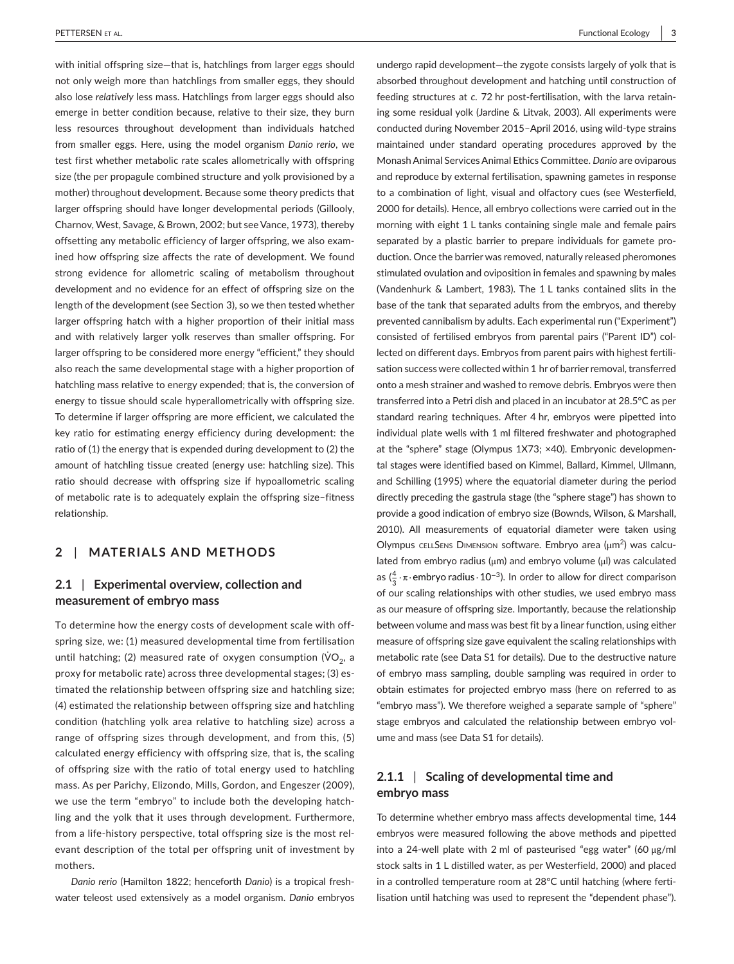**|** PETTERSEN et al. Functional Ecology **3**

with initial offspring size—that is, hatchlings from larger eggs should not only weigh more than hatchlings from smaller eggs, they should also lose *relatively* less mass. Hatchlings from larger eggs should also emerge in better condition because, relative to their size, they burn less resources throughout development than individuals hatched from smaller eggs. Here, using the model organism *Danio rerio*, we test first whether metabolic rate scales allometrically with offspring size (the per propagule combined structure and yolk provisioned by a mother) throughout development. Because some theory predicts that larger offspring should have longer developmental periods (Gillooly, Charnov, West, Savage, & Brown, 2002; but see Vance, 1973), thereby offsetting any metabolic efficiency of larger offspring, we also examined how offspring size affects the rate of development. We found strong evidence for allometric scaling of metabolism throughout development and no evidence for an effect of offspring size on the length of the development (see Section 3), so we then tested whether larger offspring hatch with a higher proportion of their initial mass and with relatively larger yolk reserves than smaller offspring. For larger offspring to be considered more energy "efficient," they should also reach the same developmental stage with a higher proportion of hatchling mass relative to energy expended; that is, the conversion of energy to tissue should scale hyperallometrically with offspring size. To determine if larger offspring are more efficient, we calculated the key ratio for estimating energy efficiency during development: the ratio of (1) the energy that is expended during development to (2) the amount of hatchling tissue created (energy use: hatchling size). This ratio should decrease with offspring size if hypoallometric scaling of metabolic rate is to adequately explain the offspring size–fitness relationship.

## **2** | **MATERIALS AND METHODS**

#### **2.1** | **Experimental overview, collection and measurement of embryo mass**

To determine how the energy costs of development scale with offspring size, we: (1) measured developmental time from fertilisation until hatching; (2) measured rate of oxygen consumption ( $\mathsf{VO}_2$ , a proxy for metabolic rate) across three developmental stages; (3) estimated the relationship between offspring size and hatchling size; (4) estimated the relationship between offspring size and hatchling condition (hatchling yolk area relative to hatchling size) across a range of offspring sizes through development, and from this, (5) calculated energy efficiency with offspring size, that is, the scaling of offspring size with the ratio of total energy used to hatchling mass. As per Parichy, Elizondo, Mills, Gordon, and Engeszer (2009), we use the term "embryo" to include both the developing hatchling and the yolk that it uses through development. Furthermore, from a life-history perspective, total offspring size is the most relevant description of the total per offspring unit of investment by mothers.

*Danio rerio* (Hamilton 1822; henceforth *Danio*) is a tropical freshwater teleost used extensively as a model organism. *Danio* embryos undergo rapid development—the zygote consists largely of yolk that is absorbed throughout development and hatching until construction of feeding structures at *c.* 72 hr post-fertilisation, with the larva retaining some residual yolk (Jardine & Litvak, 2003). All experiments were conducted during November 2015–April 2016, using wild-type strains maintained under standard operating procedures approved by the MonashAnimal ServicesAnimal Ethics Committee. *Danio* are oviparous and reproduce by external fertilisation, spawning gametes in response to a combination of light, visual and olfactory cues (see Westerfield, 2000 for details). Hence, all embryo collections were carried out in the morning with eight 1 L tanks containing single male and female pairs separated by a plastic barrier to prepare individuals for gamete production. Once the barrier was removed, naturally released pheromones stimulated ovulation and oviposition in females and spawning by males (Vandenhurk & Lambert, 1983). The 1 L tanks contained slits in the base of the tank that separated adults from the embryos, and thereby prevented cannibalism by adults. Each experimental run ("Experiment") consisted of fertilised embryos from parental pairs ("Parent ID") collected on different days. Embryos from parent pairs with highest fertilisation success were collected within 1 hr of barrier removal, transferred onto a mesh strainer and washed to remove debris. Embryos were then transferred into a Petri dish and placed in an incubator at 28.5°C as per standard rearing techniques. After 4 hr, embryos were pipetted into individual plate wells with 1 ml filtered freshwater and photographed at the "sphere" stage (Olympus 1X73; ×40). Embryonic developmental stages were identified based on Kimmel, Ballard, Kimmel, Ullmann, and Schilling (1995) where the equatorial diameter during the period directly preceding the gastrula stage (the "sphere stage") has shown to provide a good indication of embryo size (Bownds, Wilson, & Marshall, 2010). All measurements of equatorial diameter were taken using Olympus cELLSENS DIMENSION software. Embryo area (μm<sup>2</sup>) was calculated from embryo radius (μm) and embryo volume (μl) was calculated as ( $\frac{4}{3} \cdot \pi \cdot$ embryo radius $\cdot 10^{-3}$ ). In order to allow for direct comparison of our scaling relationships with other studies, we used embryo mass as our measure of offspring size. Importantly, because the relationship between volume and mass was best fit by a linear function, using either measure of offspring size gave equivalent the scaling relationships with metabolic rate (see Data S1 for details). Due to the destructive nature of embryo mass sampling, double sampling was required in order to obtain estimates for projected embryo mass (here on referred to as "embryo mass"). We therefore weighed a separate sample of "sphere" stage embryos and calculated the relationship between embryo volume and mass (see Data S1 for details).

## **2.1.1** | **Scaling of developmental time and embryo mass**

To determine whether embryo mass affects developmental time, 144 embryos were measured following the above methods and pipetted into a 24-well plate with 2 ml of pasteurised "egg water" (60 μg/ml stock salts in 1 L distilled water, as per Westerfield, 2000) and placed in a controlled temperature room at 28°C until hatching (where fertilisation until hatching was used to represent the "dependent phase").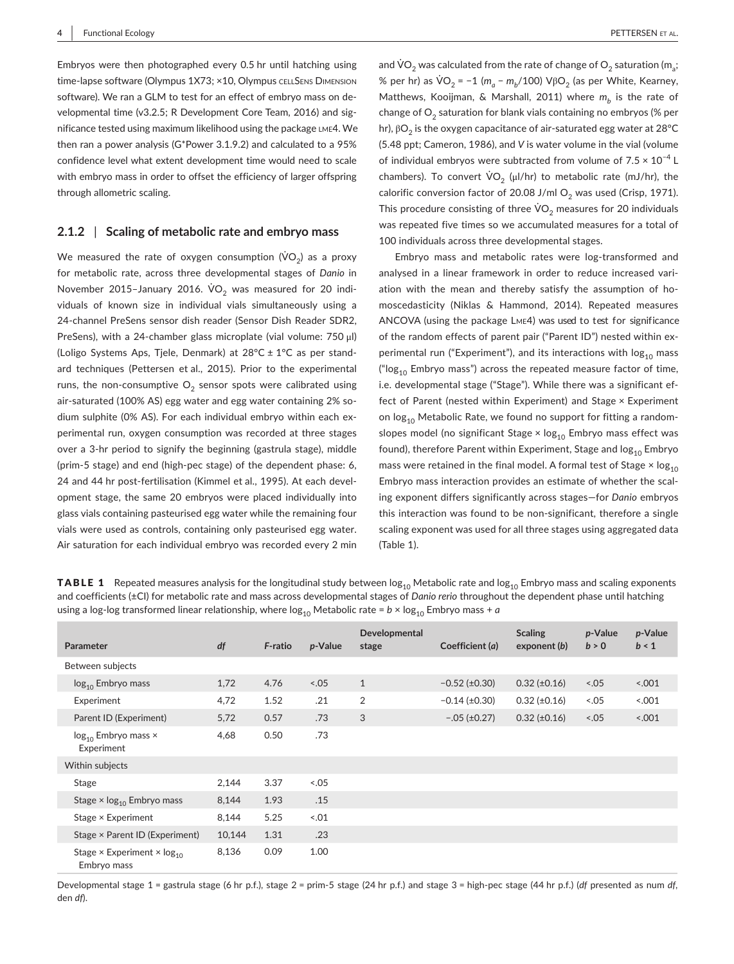Embryos were then photographed every 0.5 hr until hatching using time-lapse software (Olympus 1X73; ×10, Olympus CELLSENS DIMENSION software). We ran a GLM to test for an effect of embryo mass on developmental time (v3.2.5; R Development Core Team, 2016) and significance tested using maximum likelihood using the package lme4. We then ran a power analysis (G\*Power 3.1.9.2) and calculated to a 95% confidence level what extent development time would need to scale with embryo mass in order to offset the efficiency of larger offspring through allometric scaling.

#### **2.1.2** | **Scaling of metabolic rate and embryo mass**

We measured the rate of oxygen consumption ( $\dot{\mathsf{VO}}_2$ ) as a proxy for metabolic rate, across three developmental stages of *Danio* in November 2015–January 2016.  $\rm \dot{V}O_{2}$  was measured for 20 individuals of known size in individual vials simultaneously using a 24-channel PreSens sensor dish reader (Sensor Dish Reader SDR2, PreSens), with a 24-chamber glass microplate (vial volume: 750 μl) (Loligo Systems Aps, Tjele, Denmark) at 28°C ± 1°C as per standard techniques (Pettersen et al., 2015). Prior to the experimental runs, the non-consumptive  $O<sub>2</sub>$  sensor spots were calibrated using air-saturated (100% AS) egg water and egg water containing 2% sodium sulphite (0% AS). For each individual embryo within each experimental run, oxygen consumption was recorded at three stages over a 3-hr period to signify the beginning (gastrula stage), middle (prim-5 stage) and end (high-pec stage) of the dependent phase: 6, 24 and 44 hr post-fertilisation (Kimmel et al., 1995). At each development stage, the same 20 embryos were placed individually into glass vials containing pasteurised egg water while the remaining four vials were used as controls, containing only pasteurised egg water. Air saturation for each individual embryo was recorded every 2 min

and  $\dot{\text{\sf VO}}_2$  was calculated from the rate of change of  $\text{\sf O}_2$  saturation (m<sub>a</sub>; % per hr) as VO<sub>2</sub> = −1 (m<sub>a</sub> − m<sub>b</sub>/100) VβO<sub>2</sub> (as per White, Kearney, Matthews, Kooijman, & Marshall, 2011) where  $m_b$  is the rate of change of  $O<sub>2</sub>$  saturation for blank vials containing no embryos (% per hr),  $βO<sub>2</sub>$  is the oxygen capacitance of air-saturated egg water at 28°C (5.48 ppt; Cameron, 1986), and *V* is water volume in the vial (volume of individual embryos were subtracted from volume of  $7.5 \times 10^{-4}$  L chambers). To convert  $\rm \dot{VO}_{2}$  ( $\rm \mu I/hr$ ) to metabolic rate (mJ/hr), the calorific conversion factor of 20.08 J/ml  $O_2$  was used (Crisp, 1971). This procedure consisting of three  $\mathsf{VO}_2$  measures for 20 individuals was repeated five times so we accumulated measures for a total of 100 individuals across three developmental stages.

Embryo mass and metabolic rates were log-transformed and analysed in a linear framework in order to reduce increased variation with the mean and thereby satisfy the assumption of homoscedasticity (Niklas & Hammond, 2014). Repeated measures ANCOVA (using the package Lme4) was used to test for significance of the random effects of parent pair ("Parent ID") nested within experimental run ("Experiment"), and its interactions with  $log_{10}$  mass (" $log<sub>10</sub>$  Embryo mass") across the repeated measure factor of time, i.e. developmental stage ("Stage"). While there was a significant effect of Parent (nested within Experiment) and Stage × Experiment on  $log<sub>10</sub>$  Metabolic Rate, we found no support for fitting a randomslopes model (no significant Stage  $\times$  log<sub>10</sub> Embryo mass effect was found), therefore Parent within Experiment, Stage and  $log<sub>10</sub>$  Embryo mass were retained in the final model. A formal test of Stage  $\times$  log<sub>10</sub> Embryo mass interaction provides an estimate of whether the scaling exponent differs significantly across stages—for *Danio* embryos this interaction was found to be non-significant, therefore a single scaling exponent was used for all three stages using aggregated data (Table 1).

| <b>TABLE 1</b> Repeated measures analysis for the longitudinal study between $log_{10}$ Metabolic rate and log <sub>10</sub> Embryo mass and scaling exponents |
|----------------------------------------------------------------------------------------------------------------------------------------------------------------|
| and coefficients $(\pm C)$ for metabolic rate and mass across developmental stages of Danio rerio throughout the dependent phase until hatching                |
| using a log-log transformed linear relationship, where $log_{10}$ Metabolic rate = $b \times log_{10}$ Embryo mass + a                                         |

| Parameter                                                           | df     | F-ratio | p-Value | Developmental<br>stage | Coefficient (a)     | <b>Scaling</b><br>exponent (b) | p-Value<br>b > 0 | p-Value<br>b < 1 |
|---------------------------------------------------------------------|--------|---------|---------|------------------------|---------------------|--------------------------------|------------------|------------------|
| Between subjects                                                    |        |         |         |                        |                     |                                |                  |                  |
| $log_{10}$ Embryo mass                                              | 1,72   | 4.76    | 5.05    | $\mathbf{1}$           | $-0.52$ (±0.30)     | $0.32 \ (\pm 0.16)$            | 3.05             | 5.001            |
| Experiment                                                          | 4,72   | 1.52    | .21     | 2                      | $-0.14$ (±0.30)     | $0.32 (\pm 0.16)$              | $5 - .05$        | 0.001            |
| Parent ID (Experiment)                                              | 5,72   | 0.57    | .73     | 3                      | $-.05 \ (\pm 0.27)$ | $0.32 \ (\pm 0.16)$            | 5.05             | 5.001            |
| $log_{10}$ Embryo mass $\times$<br>Experiment                       | 4,68   | 0.50    | .73     |                        |                     |                                |                  |                  |
| Within subjects                                                     |        |         |         |                        |                     |                                |                  |                  |
| Stage                                                               | 2,144  | 3.37    | 5.05    |                        |                     |                                |                  |                  |
| Stage $\times$ log <sub>10</sub> Embryo mass                        | 8,144  | 1.93    | .15     |                        |                     |                                |                  |                  |
| Stage × Experiment                                                  | 8,144  | 5.25    | $-.01$  |                        |                     |                                |                  |                  |
| Stage × Parent ID (Experiment)                                      | 10,144 | 1.31    | .23     |                        |                     |                                |                  |                  |
| Stage $\times$ Experiment $\times$ log <sub>10</sub><br>Embryo mass | 8,136  | 0.09    | 1.00    |                        |                     |                                |                  |                  |

Developmental stage 1 = gastrula stage (6 hr p.f.), stage 2 = prim-5 stage (24 hr p.f.) and stage 3 = high-pec stage (44 hr p.f.) (*df* presented as num *df*, den *df*).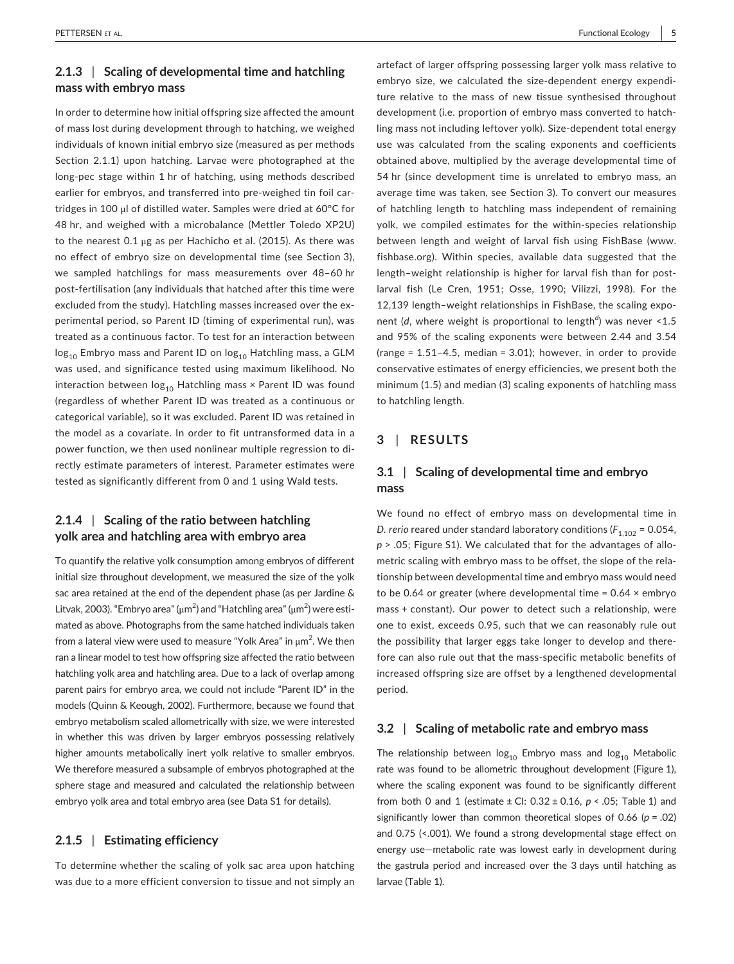#### **2.1.3** | **Scaling of developmental time and hatchling mass with embryo mass**

In order to determine how initial offspring size affected the amount of mass lost during development through to hatching, we weighed individuals of known initial embryo size (measured as per methods Section 2.1.1) upon hatching. Larvae were photographed at the long-pec stage within 1 hr of hatching, using methods described earlier for embryos, and transferred into pre-weighed tin foil cartridges in 100 μl of distilled water. Samples were dried at 60°C for 48 hr, and weighed with a microbalance (Mettler Toledo XP2U) to the nearest 0.1 μg as per Hachicho et al. (2015). As there was no effect of embryo size on developmental time (see Section 3), we sampled hatchlings for mass measurements over 48–60 hr post-fertilisation (any individuals that hatched after this time were excluded from the study). Hatchling masses increased over the experimental period, so Parent ID (timing of experimental run), was treated as a continuous factor. To test for an interaction between  $log_{10}$  Embryo mass and Parent ID on  $log_{10}$  Hatchling mass, a GLM was used, and significance tested using maximum likelihood. No interaction between  $log_{10}$  Hatchling mass  $\times$  Parent ID was found (regardless of whether Parent ID was treated as a continuous or categorical variable), so it was excluded. Parent ID was retained in the model as a covariate. In order to fit untransformed data in a power function, we then used nonlinear multiple regression to directly estimate parameters of interest. Parameter estimates were tested as significantly different from 0 and 1 using Wald tests.

## **2.1.4** | **Scaling of the ratio between hatchling yolk area and hatchling area with embryo area**

To quantify the relative yolk consumption among embryos of different initial size throughout development, we measured the size of the yolk sac area retained at the end of the dependent phase (as per Jardine & Litvak, 2003). "Embryo area" ( $\mu$ m $^2$ ) and "Hatchling area" ( $\mu$ m $^2$ ) were estimated as above. Photographs from the same hatched individuals taken from a lateral view were used to measure "Yolk Area" in  $\mu$ m $^2$ . We then ran a linear model to test how offspring size affected the ratio between hatchling yolk area and hatchling area. Due to a lack of overlap among parent pairs for embryo area, we could not include "Parent ID" in the models (Quinn & Keough, 2002). Furthermore, because we found that embryo metabolism scaled allometrically with size, we were interested in whether this was driven by larger embryos possessing relatively higher amounts metabolically inert yolk relative to smaller embryos. We therefore measured a subsample of embryos photographed at the sphere stage and measured and calculated the relationship between embryo yolk area and total embryo area (see Data S1 for details).

#### **2.1.5** | **Estimating efficiency**

To determine whether the scaling of yolk sac area upon hatching was due to a more efficient conversion to tissue and not simply an artefact of larger offspring possessing larger yolk mass relative to embryo size, we calculated the size-dependent energy expenditure relative to the mass of new tissue synthesised throughout development (i.e. proportion of embryo mass converted to hatchling mass not including leftover yolk). Size-dependent total energy use was calculated from the scaling exponents and coefficients obtained above, multiplied by the average developmental time of 54 hr (since development time is unrelated to embryo mass, an average time was taken, see Section 3). To convert our measures of hatchling length to hatchling mass independent of remaining yolk, we compiled estimates for the within-species relationship between length and weight of larval fish using FishBase [\(www.](http://www.fishbase.org) [fishbase.org](http://www.fishbase.org)). Within species, available data suggested that the length–weight relationship is higher for larval fish than for postlarval fish (Le Cren, 1951; Osse, 1990; Vilizzi, 1998). For the 12,139 length–weight relationships in FishBase, the scaling exponent (*d*, where weight is proportional to length*<sup>d</sup>* ) was never <1.5 and 95% of the scaling exponents were between 2.44 and 3.54 (range = 1.51–4.5, median = 3.01); however, in order to provide conservative estimates of energy efficiencies, we present both the minimum (1.5) and median (3) scaling exponents of hatchling mass to hatchling length.

## **3** | **RESULTS**

## **3.1** | **Scaling of developmental time and embryo mass**

We found no effect of embryo mass on developmental time in *D. rerio* reared under standard laboratory conditions ( $F_{1,102}$  = 0.054, *p* > .05; Figure S1). We calculated that for the advantages of allometric scaling with embryo mass to be offset, the slope of the relationship between developmental time and embryo mass would need to be 0.64 or greater (where developmental time =  $0.64 \times$  embryo mass + constant). Our power to detect such a relationship, were one to exist, exceeds 0.95, such that we can reasonably rule out the possibility that larger eggs take longer to develop and therefore can also rule out that the mass-specific metabolic benefits of increased offspring size are offset by a lengthened developmental period.

#### **3.2** | **Scaling of metabolic rate and embryo mass**

The relationship between  $log_{10}$  Embryo mass and  $log_{10}$  Metabolic rate was found to be allometric throughout development (Figure 1), where the scaling exponent was found to be significantly different from both 0 and 1 (estimate ± CI: 0.32 ± 0.16, *p* < .05; Table 1) and significantly lower than common theoretical slopes of 0.66 (*p* = .02) and 0.75 (<.001). We found a strong developmental stage effect on energy use—metabolic rate was lowest early in development during the gastrula period and increased over the 3 days until hatching as larvae (Table 1).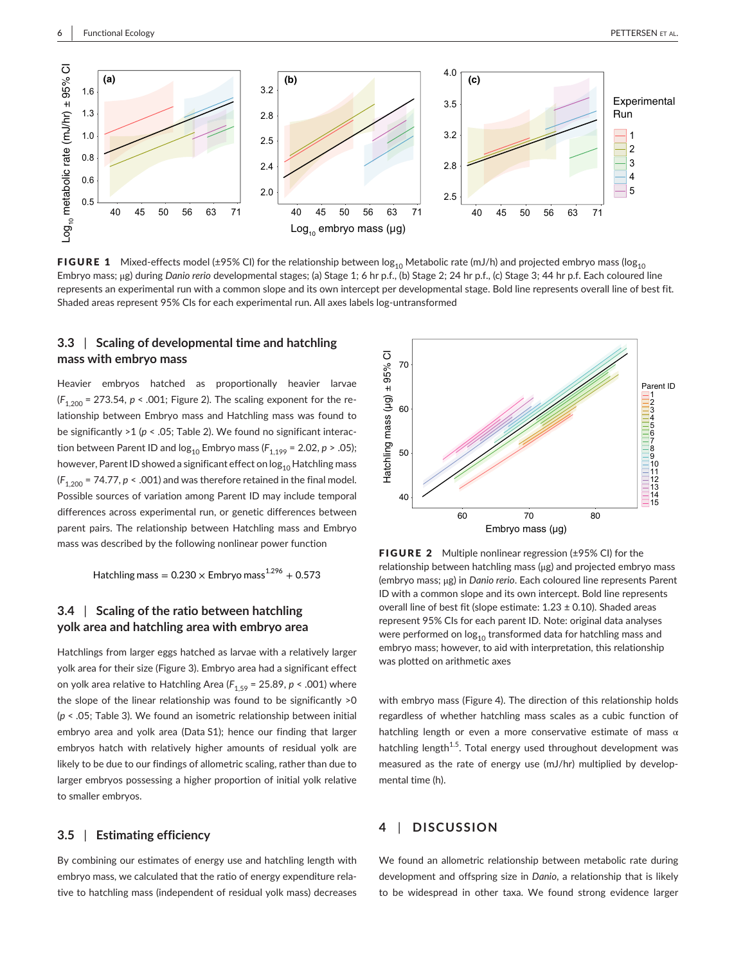

FIGURE 1 Mixed-effects model (±95% CI) for the relationship between  $\log_{10}$  Metabolic rate (mJ/h) and projected embryo mass (log<sub>10</sub> Embryo mass; μg) during *Danio rerio* developmental stages; (a) Stage 1; 6 hr p.f., (b) Stage 2; 24 hr p.f., (c) Stage 3; 44 hr p.f. Each coloured line represents an experimental run with a common slope and its own intercept per developmental stage. Bold line represents overall line of best fit. Shaded areas represent 95% CIs for each experimental run. All axes labels log-untransformed

#### **3.3** | **Scaling of developmental time and hatchling mass with embryo mass**

Heavier embryos hatched as proportionally heavier larvae  $(F_{1,200} = 273.54, p < .001$ ; Figure 2). The scaling exponent for the relationship between Embryo mass and Hatchling mass was found to be significantly >1 (*p* < .05; Table 2). We found no significant interaction between Parent ID and  $log_{10}$  Embryo mass ( $F_{1,199}$  = 2.02,  $p > .05$ ); however, Parent ID showed a significant effect on  $log_{10}$  Hatchling mass  $(F_{1,200} = 74.77, p < .001)$  and was therefore retained in the final model. Possible sources of variation among Parent ID may include temporal differences across experimental run, or genetic differences between parent pairs. The relationship between Hatchling mass and Embryo mass was described by the following nonlinear power function

Hatchling mass =  $0.230 \times$  Embryo mass  $1.296 + 0.573$ 

## **3.4** | **Scaling of the ratio between hatchling yolk area and hatchling area with embryo area**

Hatchlings from larger eggs hatched as larvae with a relatively larger yolk area for their size (Figure 3). Embryo area had a significant effect on yolk area relative to Hatchling Area ( $F_{1.59}$  = 25.89,  $p$  < .001) where the slope of the linear relationship was found to be significantly >0 (*p* < .05; Table 3). We found an isometric relationship between initial embryo area and yolk area (Data S1); hence our finding that larger embryos hatch with relatively higher amounts of residual yolk are likely to be due to our findings of allometric scaling, rather than due to larger embryos possessing a higher proportion of initial yolk relative to smaller embryos.

#### **3.5** | **Estimating efficiency**

By combining our estimates of energy use and hatchling length with embryo mass, we calculated that the ratio of energy expenditure relative to hatchling mass (independent of residual yolk mass) decreases



FIGURE 2 Multiple nonlinear regression (±95% CI) for the relationship between hatchling mass (μg) and projected embryo mass (embryo mass; μg) in *Danio rerio*. Each coloured line represents Parent ID with a common slope and its own intercept. Bold line represents overall line of best fit (slope estimate:  $1.23 \pm 0.10$ ). Shaded areas represent 95% CIs for each parent ID. Note: original data analyses were performed on  $log_{10}$  transformed data for hatchling mass and embryo mass; however, to aid with interpretation, this relationship was plotted on arithmetic axes

with embryo mass (Figure 4). The direction of this relationship holds regardless of whether hatchling mass scales as a cubic function of hatchling length or even a more conservative estimate of mass  $\alpha$ hatchling length<sup>1.5</sup>. Total energy used throughout development was measured as the rate of energy use (mJ/hr) multiplied by developmental time (h).

## **4** | **DISCUSSION**

We found an allometric relationship between metabolic rate during development and offspring size in *Danio*, a relationship that is likely to be widespread in other taxa. We found strong evidence larger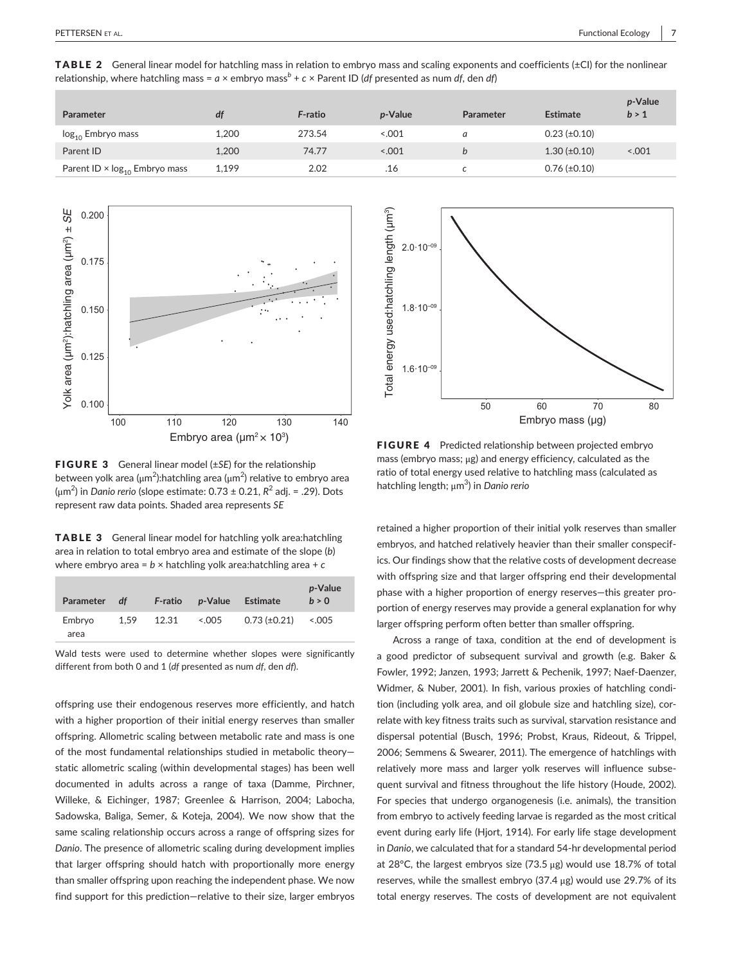TABLE 2 General linear model for hatchling mass in relation to embryo mass and scaling exponents and coefficients (±Cl) for the nonlinear relationship, where hatchling mass =  $a \times$  embryo mass<sup>b</sup> +  $c \times$  Parent ID (*df* presented as num *df*, den *df*)

| <b>Parameter</b>                                 | df    | F-ratio | <i>p</i> -Value | Parameter | Estimate              | p-Value<br>b > 1 |
|--------------------------------------------------|-------|---------|-----------------|-----------|-----------------------|------------------|
| log <sub>10</sub> Embryo mass                    | 1.200 | 273.54  | < 0.001         | a         | $0.23$ ( $\pm 0.10$ ) |                  |
| Parent ID                                        | 1.200 | 74.77   | < 0.001         |           | $1.30 \ (\pm 0.10)$   | < .001           |
| Parent ID $\times$ log <sub>10</sub> Embryo mass | 1,199 | 2.02    | .16             |           | $0.76 \ (\pm 0.10)$   |                  |



FIGURE 3 General linear model (±*SE*) for the relationship between yolk area (μm<sup>2</sup>):hatchling area (μm<sup>2</sup>) relative to embryo area (μm<sup>2</sup> ) in *Danio rerio* (slope estimate: 0.73 ± 0.21, *R*<sup>2</sup> adj. = .29). Dots represent raw data points. Shaded area represents *SE*

TABLE 3 General linear model for hatchling yolk area:hatchling area in relation to total embryo area and estimate of the slope (*b*) where embryo area = *b* × hatchling yolk area:hatchling area + *c*

| <b>Parameter</b> | df   | <b>F-ratio</b> | <i>p</i> -Value | <b>Estimate</b>     | p-Value<br>h > 0 |
|------------------|------|----------------|-----------------|---------------------|------------------|
| Embryo<br>area   | 1.59 | 12.31          | < 0.005         | $0.73 \ (\pm 0.21)$ | < 0.005          |

Wald tests were used to determine whether slopes were significantly different from both 0 and 1 (*df* presented as num *df*, den *df*).

offspring use their endogenous reserves more efficiently, and hatch with a higher proportion of their initial energy reserves than smaller offspring. Allometric scaling between metabolic rate and mass is one of the most fundamental relationships studied in metabolic theory static allometric scaling (within developmental stages) has been well documented in adults across a range of taxa (Damme, Pirchner, Willeke, & Eichinger, 1987; Greenlee & Harrison, 2004; Labocha, Sadowska, Baliga, Semer, & Koteja, 2004). We now show that the same scaling relationship occurs across a range of offspring sizes for *Danio*. The presence of allometric scaling during development implies that larger offspring should hatch with proportionally more energy than smaller offspring upon reaching the independent phase. We now find support for this prediction—relative to their size, larger embryos



FIGURE 4 Predicted relationship between projected embryo mass (embryo mass; μg) and energy efficiency, calculated as the ratio of total energy used relative to hatchling mass (calculated as hatchling length; μm<sup>3</sup> ) in *Danio rerio*

retained a higher proportion of their initial yolk reserves than smaller embryos, and hatched relatively heavier than their smaller conspecifics. Our findings show that the relative costs of development decrease with offspring size and that larger offspring end their developmental phase with a higher proportion of energy reserves—this greater proportion of energy reserves may provide a general explanation for why larger offspring perform often better than smaller offspring.

Across a range of taxa, condition at the end of development is a good predictor of subsequent survival and growth (e.g. Baker & Fowler, 1992; Janzen, 1993; Jarrett & Pechenik, 1997; Naef-Daenzer, Widmer, & Nuber, 2001). In fish, various proxies of hatchling condition (including yolk area, and oil globule size and hatchling size), correlate with key fitness traits such as survival, starvation resistance and dispersal potential (Busch, 1996; Probst, Kraus, Rideout, & Trippel, 2006; Semmens & Swearer, 2011). The emergence of hatchlings with relatively more mass and larger yolk reserves will influence subsequent survival and fitness throughout the life history (Houde, 2002). For species that undergo organogenesis (i.e. animals), the transition from embryo to actively feeding larvae is regarded as the most critical event during early life (Hjort, 1914). For early life stage development in *Danio*, we calculated that for a standard 54-hr developmental period at 28°C, the largest embryos size (73.5 μg) would use 18.7% of total reserves, while the smallest embryo (37.4 μg) would use 29.7% of its total energy reserves. The costs of development are not equivalent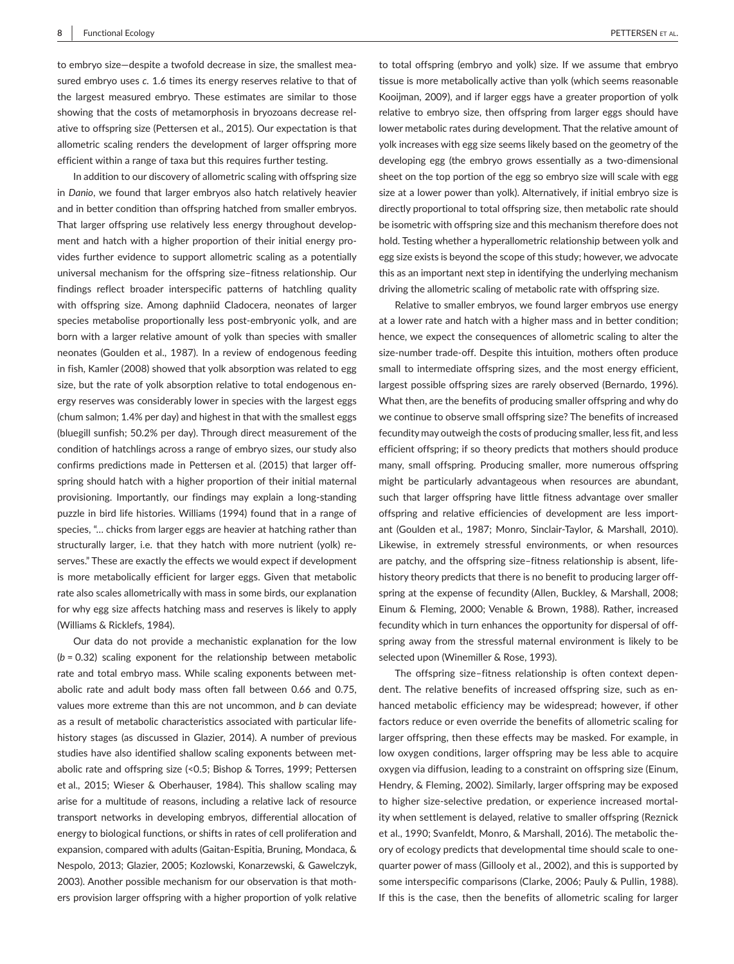to embryo size—despite a twofold decrease in size, the smallest measured embryo uses *c.* 1.6 times its energy reserves relative to that of the largest measured embryo. These estimates are similar to those showing that the costs of metamorphosis in bryozoans decrease relative to offspring size (Pettersen et al., 2015). Our expectation is that allometric scaling renders the development of larger offspring more efficient within a range of taxa but this requires further testing.

In addition to our discovery of allometric scaling with offspring size in *Danio*, we found that larger embryos also hatch relatively heavier and in better condition than offspring hatched from smaller embryos. That larger offspring use relatively less energy throughout development and hatch with a higher proportion of their initial energy provides further evidence to support allometric scaling as a potentially universal mechanism for the offspring size–fitness relationship. Our findings reflect broader interspecific patterns of hatchling quality with offspring size. Among daphniid Cladocera, neonates of larger species metabolise proportionally less post-embryonic yolk, and are born with a larger relative amount of yolk than species with smaller neonates (Goulden et al., 1987). In a review of endogenous feeding in fish, Kamler (2008) showed that yolk absorption was related to egg size, but the rate of yolk absorption relative to total endogenous energy reserves was considerably lower in species with the largest eggs (chum salmon; 1.4% per day) and highest in that with the smallest eggs (bluegill sunfish; 50.2% per day). Through direct measurement of the condition of hatchlings across a range of embryo sizes, our study also confirms predictions made in Pettersen et al. (2015) that larger offspring should hatch with a higher proportion of their initial maternal provisioning. Importantly, our findings may explain a long-standing puzzle in bird life histories. Williams (1994) found that in a range of species, "… chicks from larger eggs are heavier at hatching rather than structurally larger, i.e. that they hatch with more nutrient (yolk) reserves." These are exactly the effects we would expect if development is more metabolically efficient for larger eggs. Given that metabolic rate also scales allometrically with mass in some birds, our explanation for why egg size affects hatching mass and reserves is likely to apply (Williams & Ricklefs, 1984).

Our data do not provide a mechanistic explanation for the low (*b* = 0.32) scaling exponent for the relationship between metabolic rate and total embryo mass. While scaling exponents between metabolic rate and adult body mass often fall between 0.66 and 0.75, values more extreme than this are not uncommon, and *b* can deviate as a result of metabolic characteristics associated with particular lifehistory stages (as discussed in Glazier, 2014). A number of previous studies have also identified shallow scaling exponents between metabolic rate and offspring size (<0.5; Bishop & Torres, 1999; Pettersen et al., 2015; Wieser & Oberhauser, 1984). This shallow scaling may arise for a multitude of reasons, including a relative lack of resource transport networks in developing embryos, differential allocation of energy to biological functions, or shifts in rates of cell proliferation and expansion, compared with adults (Gaitan-Espitia, Bruning, Mondaca, & Nespolo, 2013; Glazier, 2005; Kozlowski, Konarzewski, & Gawelczyk, 2003). Another possible mechanism for our observation is that mothers provision larger offspring with a higher proportion of yolk relative

to total offspring (embryo and yolk) size. If we assume that embryo tissue is more metabolically active than yolk (which seems reasonable Kooijman, 2009), and if larger eggs have a greater proportion of yolk relative to embryo size, then offspring from larger eggs should have lower metabolic rates during development. That the relative amount of yolk increases with egg size seems likely based on the geometry of the developing egg (the embryo grows essentially as a two-dimensional sheet on the top portion of the egg so embryo size will scale with egg size at a lower power than yolk). Alternatively, if initial embryo size is directly proportional to total offspring size, then metabolic rate should be isometric with offspring size and this mechanism therefore does not hold. Testing whether a hyperallometric relationship between yolk and egg size exists is beyond the scope of this study; however, we advocate this as an important next step in identifying the underlying mechanism driving the allometric scaling of metabolic rate with offspring size.

Relative to smaller embryos, we found larger embryos use energy at a lower rate and hatch with a higher mass and in better condition; hence, we expect the consequences of allometric scaling to alter the size-number trade-off. Despite this intuition, mothers often produce small to intermediate offspring sizes, and the most energy efficient, largest possible offspring sizes are rarely observed (Bernardo, 1996). What then, are the benefits of producing smaller offspring and why do we continue to observe small offspring size? The benefits of increased fecundity may outweigh the costs of producing smaller, less fit, and less efficient offspring; if so theory predicts that mothers should produce many, small offspring. Producing smaller, more numerous offspring might be particularly advantageous when resources are abundant, such that larger offspring have little fitness advantage over smaller offspring and relative efficiencies of development are less important (Goulden et al., 1987; Monro, Sinclair-Taylor, & Marshall, 2010). Likewise, in extremely stressful environments, or when resources are patchy, and the offspring size–fitness relationship is absent, lifehistory theory predicts that there is no benefit to producing larger offspring at the expense of fecundity (Allen, Buckley, & Marshall, 2008; Einum & Fleming, 2000; Venable & Brown, 1988). Rather, increased fecundity which in turn enhances the opportunity for dispersal of offspring away from the stressful maternal environment is likely to be selected upon (Winemiller & Rose, 1993).

The offspring size–fitness relationship is often context dependent. The relative benefits of increased offspring size, such as enhanced metabolic efficiency may be widespread; however, if other factors reduce or even override the benefits of allometric scaling for larger offspring, then these effects may be masked. For example, in low oxygen conditions, larger offspring may be less able to acquire oxygen via diffusion, leading to a constraint on offspring size (Einum, Hendry, & Fleming, 2002). Similarly, larger offspring may be exposed to higher size-selective predation, or experience increased mortality when settlement is delayed, relative to smaller offspring (Reznick et al., 1990; Svanfeldt, Monro, & Marshall, 2016). The metabolic theory of ecology predicts that developmental time should scale to onequarter power of mass (Gillooly et al., 2002), and this is supported by some interspecific comparisons (Clarke, 2006; Pauly & Pullin, 1988). If this is the case, then the benefits of allometric scaling for larger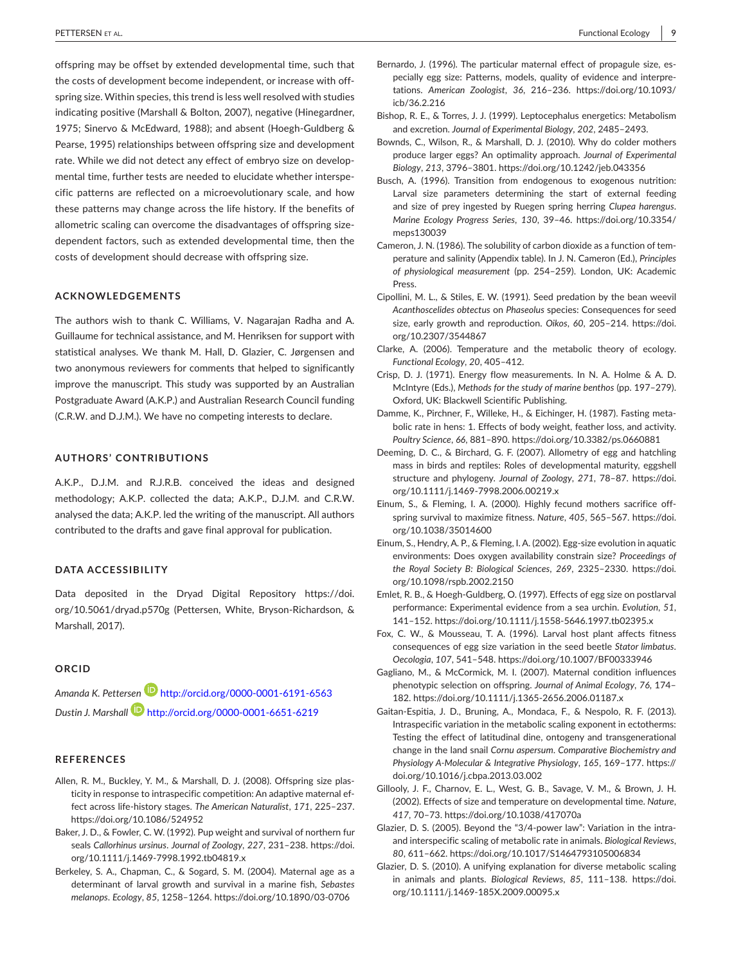**|** PETTERSEN et al. Functional Ecology **9**

offspring may be offset by extended developmental time, such that the costs of development become independent, or increase with offspring size. Within species, this trend is less well resolved with studies indicating positive (Marshall & Bolton, 2007), negative (Hinegardner, 1975; Sinervo & McEdward, 1988); and absent (Hoegh-Guldberg & Pearse, 1995) relationships between offspring size and development rate. While we did not detect any effect of embryo size on developmental time, further tests are needed to elucidate whether interspecific patterns are reflected on a microevolutionary scale, and how these patterns may change across the life history. If the benefits of allometric scaling can overcome the disadvantages of offspring sizedependent factors, such as extended developmental time, then the costs of development should decrease with offspring size.

#### **ACKNOWLEDGEMENTS**

The authors wish to thank C. Williams, V. Nagarajan Radha and A. Guillaume for technical assistance, and M. Henriksen for support with statistical analyses. We thank M. Hall, D. Glazier, C. Jørgensen and two anonymous reviewers for comments that helped to significantly improve the manuscript. This study was supported by an Australian Postgraduate Award (A.K.P.) and Australian Research Council funding (C.R.W. and D.J.M.). We have no competing interests to declare.

#### **AUTHORS' CONTRIBUTIONS**

A.K.P., D.J.M. and R.J.R.B. conceived the ideas and designed methodology; A.K.P. collected the data; A.K.P., D.J.M. and C.R.W. analysed the data; A.K.P. led the writing of the manuscript. All authors contributed to the drafts and gave final approval for publication.

#### **DATA ACCESSIBILITY**

Data deposited in the Dryad Digital Repository [https://doi.](https://doi.org/10.5061/dryad.p570g) [org/10.5061/dryad.p570g](https://doi.org/10.5061/dryad.p570g) (Pettersen, White, Bryson-Richardson, & Marshall, 2017).

#### **ORCID**

*Amanda K. Pettersen* <http://orcid.org/0000-0001-6191-6563> *Dustin J. Marshall* <http://orcid.org/0000-0001-6651-6219>

#### **REFERENCES**

- Allen, R. M., Buckley, Y. M., & Marshall, D. J. (2008). Offspring size plasticity in response to intraspecific competition: An adaptive maternal effect across life-history stages. *The American Naturalist*, *171*, 225–237. <https://doi.org/10.1086/524952>
- Baker, J. D., & Fowler, C. W. (1992). Pup weight and survival of northern fur seals *Callorhinus ursinus*. *Journal of Zoology*, *227*, 231–238. [https://doi.](https://doi.org/10.1111/j.1469-7998.1992.tb04819.x) [org/10.1111/j.1469-7998.1992.tb04819.x](https://doi.org/10.1111/j.1469-7998.1992.tb04819.x)
- Berkeley, S. A., Chapman, C., & Sogard, S. M. (2004). Maternal age as a determinant of larval growth and survival in a marine fish, *Sebastes melanops*. *Ecology*, *85*, 1258–1264. <https://doi.org/10.1890/03-0706>
- Bernardo, J. (1996). The particular maternal effect of propagule size, especially egg size: Patterns, models, quality of evidence and interpretations. *American Zoologist*, *36*, 216–236. [https://doi.org/10.1093/](https://doi.org/10.1093/icb/36.2.216) [icb/36.2.216](https://doi.org/10.1093/icb/36.2.216)
- Bishop, R. E., & Torres, J. J. (1999). Leptocephalus energetics: Metabolism and excretion. *Journal of Experimental Biology*, *202*, 2485–2493.
- Bownds, C., Wilson, R., & Marshall, D. J. (2010). Why do colder mothers produce larger eggs? An optimality approach. *Journal of Experimental Biology*, *213*, 3796–3801. <https://doi.org/10.1242/jeb.043356>
- Busch, A. (1996). Transition from endogenous to exogenous nutrition: Larval size parameters determining the start of external feeding and size of prey ingested by Ruegen spring herring *Clupea harengus*. *Marine Ecology Progress Series*, *130*, 39–46. [https://doi.org/10.3354/](https://doi.org/10.3354/meps130039) [meps130039](https://doi.org/10.3354/meps130039)
- Cameron, J. N. (1986). The solubility of carbon dioxide as a function of temperature and salinity (Appendix table). In J. N. Cameron (Ed.), *Principles of physiological measurement* (pp. 254–259). London, UK: Academic Press.
- Cipollini, M. L., & Stiles, E. W. (1991). Seed predation by the bean weevil *Acanthoscelides obtectus* on *Phaseolus* species: Consequences for seed size, early growth and reproduction. *Oikos*, *60*, 205–214. [https://doi.](https://doi.org/10.2307/3544867) [org/10.2307/3544867](https://doi.org/10.2307/3544867)
- Clarke, A. (2006). Temperature and the metabolic theory of ecology. *Functional Ecology*, *20*, 405–412.
- Crisp, D. J. (1971). Energy flow measurements. In N. A. Holme & A. D. McIntyre (Eds.), *Methods for the study of marine benthos* (pp. 197–279). Oxford, UK: Blackwell Scientific Publishing.
- Damme, K., Pirchner, F., Willeke, H., & Eichinger, H. (1987). Fasting metabolic rate in hens: 1. Effects of body weight, feather loss, and activity. *Poultry Science*, *66*, 881–890. <https://doi.org/10.3382/ps.0660881>
- Deeming, D. C., & Birchard, G. F. (2007). Allometry of egg and hatchling mass in birds and reptiles: Roles of developmental maturity, eggshell structure and phylogeny. *Journal of Zoology*, *271*, 78–87. [https://doi.](https://doi.org/10.1111/j.1469-7998.2006.00219.x) [org/10.1111/j.1469-7998.2006.00219.x](https://doi.org/10.1111/j.1469-7998.2006.00219.x)
- Einum, S., & Fleming, I. A. (2000). Highly fecund mothers sacrifice offspring survival to maximize fitness. *Nature*, *405*, 565–567. [https://doi.](https://doi.org/10.1038/35014600) [org/10.1038/35014600](https://doi.org/10.1038/35014600)
- Einum, S., Hendry,A. P., & Fleming, I.A. (2002). Egg-size evolution in aquatic environments: Does oxygen availability constrain size? *Proceedings of the Royal Society B: Biological Sciences*, *269*, 2325–2330. [https://doi.](https://doi.org/10.1098/rspb.2002.2150) [org/10.1098/rspb.2002.2150](https://doi.org/10.1098/rspb.2002.2150)
- Emlet, R. B., & Hoegh-Guldberg, O. (1997). Effects of egg size on postlarval performance: Experimental evidence from a sea urchin. *Evolution*, *51*, 141–152. <https://doi.org/10.1111/j.1558-5646.1997.tb02395.x>
- Fox, C. W., & Mousseau, T. A. (1996). Larval host plant affects fitness consequences of egg size variation in the seed beetle *Stator limbatus*. *Oecologia*, *107*, 541–548. <https://doi.org/10.1007/BF00333946>
- Gagliano, M., & McCormick, M. I. (2007). Maternal condition influences phenotypic selection on offspring. *Journal of Animal Ecology*, *76*, 174– 182. <https://doi.org/10.1111/j.1365-2656.2006.01187.x>
- Gaitan-Espitia, J. D., Bruning, A., Mondaca, F., & Nespolo, R. F. (2013). Intraspecific variation in the metabolic scaling exponent in ectotherms: Testing the effect of latitudinal dine, ontogeny and transgenerational change in the land snail *Cornu aspersum*. *Comparative Biochemistry and Physiology A-Molecular & Integrative Physiology*, *165*, 169–177. [https://](https://doi.org/10.1016/j.cbpa.2013.03.002) [doi.org/10.1016/j.cbpa.2013.03.002](https://doi.org/10.1016/j.cbpa.2013.03.002)
- Gillooly, J. F., Charnov, E. L., West, G. B., Savage, V. M., & Brown, J. H. (2002). Effects of size and temperature on developmental time. *Nature*, *417*, 70–73. <https://doi.org/10.1038/417070a>
- Glazier, D. S. (2005). Beyond the "3/4-power law": Variation in the intraand interspecific scaling of metabolic rate in animals. *Biological Reviews*, *80*, 611–662. <https://doi.org/10.1017/S1464793105006834>
- Glazier, D. S. (2010). A unifying explanation for diverse metabolic scaling in animals and plants. *Biological Reviews*, *85*, 111–138. [https://doi.](https://doi.org/10.1111/j.1469-185X.2009.00095.x) [org/10.1111/j.1469-185X.2009.00095.x](https://doi.org/10.1111/j.1469-185X.2009.00095.x)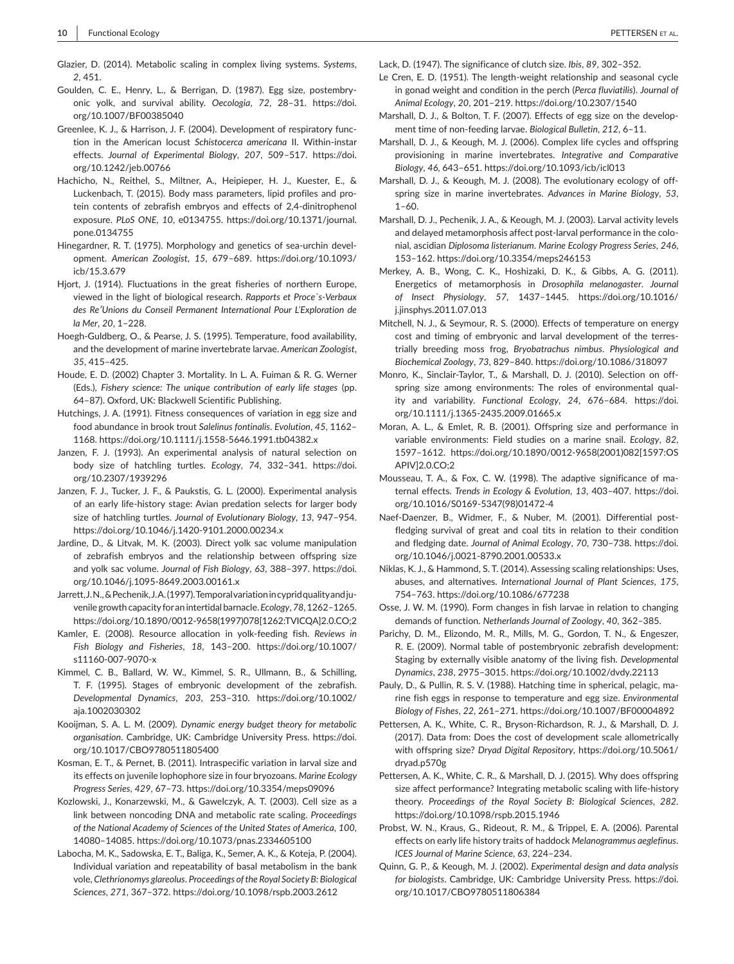- Glazier, D. (2014). Metabolic scaling in complex living systems. *Systems*, *2*, 451.
- Goulden, C. E., Henry, L., & Berrigan, D. (1987). Egg size, postembryonic yolk, and survival ability. *Oecologia*, *72*, 28–31. [https://doi.](https://doi.org/10.1007/BF00385040) [org/10.1007/BF00385040](https://doi.org/10.1007/BF00385040)
- Greenlee, K. J., & Harrison, J. F. (2004). Development of respiratory function in the American locust *Schistocerca americana* II. Within-instar effects. *Journal of Experimental Biology*, *207*, 509–517. [https://doi.](https://doi.org/10.1242/jeb.00766) [org/10.1242/jeb.00766](https://doi.org/10.1242/jeb.00766)
- Hachicho, N., Reithel, S., Miltner, A., Heipieper, H. J., Kuester, E., & Luckenbach, T. (2015). Body mass parameters, lipid profiles and protein contents of zebrafish embryos and effects of 2,4-dinitrophenol exposure. *PLoS ONE*, *10*, e0134755. [https://doi.org/10.1371/journal.](https://doi.org/10.1371/journal.pone.0134755) [pone.0134755](https://doi.org/10.1371/journal.pone.0134755)
- Hinegardner, R. T. (1975). Morphology and genetics of sea-urchin development. *American Zoologist*, *15*, 679–689. [https://doi.org/10.1093/](https://doi.org/10.1093/icb/15.3.679) [icb/15.3.679](https://doi.org/10.1093/icb/15.3.679)
- Hjort, J. (1914). Fluctuations in the great fisheries of northern Europe, viewed in the light of biological research. *Rapports et Proce`s-Verbaux des Re′Unions du Conseil Permanent International Pour L'Exploration de la Mer*, *20*, 1–228.
- Hoegh-Guldberg, O., & Pearse, J. S. (1995). Temperature, food availability, and the development of marine invertebrate larvae. *American Zoologist*, *35*, 415–425.
- Houde, E. D. (2002) Chapter 3. Mortality. In L. A. Fuiman & R. G. Werner (Eds.), *Fishery science: The unique contribution of early life stages* (pp. 64–87). Oxford, UK: Blackwell Scientific Publishing.
- Hutchings, J. A. (1991). Fitness consequences of variation in egg size and food abundance in brook trout *Salelinus fontinalis*. *Evolution*, *45*, 1162– 1168. <https://doi.org/10.1111/j.1558-5646.1991.tb04382.x>
- Janzen, F. J. (1993). An experimental analysis of natural selection on body size of hatchling turtles. *Ecology*, *74*, 332–341. [https://doi.](https://doi.org/10.2307/1939296) [org/10.2307/1939296](https://doi.org/10.2307/1939296)
- Janzen, F. J., Tucker, J. F., & Paukstis, G. L. (2000). Experimental analysis of an early life-history stage: Avian predation selects for larger body size of hatchling turtles. *Journal of Evolutionary Biology*, *13*, 947–954. <https://doi.org/10.1046/j.1420-9101.2000.00234.x>
- Jardine, D., & Litvak, M. K. (2003). Direct yolk sac volume manipulation of zebrafish embryos and the relationship between offspring size and yolk sac volume. *Journal of Fish Biology*, *63*, 388–397. [https://doi.](https://doi.org/10.1046/j.1095-8649.2003.00161.x) [org/10.1046/j.1095-8649.2003.00161.x](https://doi.org/10.1046/j.1095-8649.2003.00161.x)
- Jarrett,J.N.,&Pechenik,J.A.(1997).Temporalvariationincypridqualityandjuvenile growth capacity for an intertidal barnacle. *Ecology*, 78, 1262-1265. [https://doi.org/10.1890/0012-9658\(1997\)078\[1262:TVICQA\]2.0.CO;2](https://doi.org/10.1890/0012-9658(1997)078[1262:TVICQA]2.0.CO;2)
- Kamler, E. (2008). Resource allocation in yolk-feeding fish. *Reviews in Fish Biology and Fisheries*, *18*, 143–200. [https://doi.org/10.1007/](https://doi.org/10.1007/s11160-007-9070-x) [s11160-007-9070-x](https://doi.org/10.1007/s11160-007-9070-x)
- Kimmel, C. B., Ballard, W. W., Kimmel, S. R., Ullmann, B., & Schilling, T. F. (1995). Stages of embryonic development of the zebrafish. *Developmental Dynamics*, *203*, 253–310. [https://doi.org/10.1002/](https://doi.org/10.1002/aja.1002030302) [aja.1002030302](https://doi.org/10.1002/aja.1002030302)
- Kooijman, S. A. L. M. (2009). *Dynamic energy budget theory for metabolic organisation*. Cambridge, UK: Cambridge University Press. [https://doi.](https://doi.org/10.1017/CBO9780511805400) [org/10.1017/CBO9780511805400](https://doi.org/10.1017/CBO9780511805400)
- Kosman, E. T., & Pernet, B. (2011). Intraspecific variation in larval size and its effects on juvenile lophophore size in four bryozoans. *Marine Ecology Progress Series*, *429*, 67–73. <https://doi.org/10.3354/meps09096>
- Kozlowski, J., Konarzewski, M., & Gawelczyk, A. T. (2003). Cell size as a link between noncoding DNA and metabolic rate scaling. *Proceedings of the National Academy of Sciences of the United States of America*, *100*, 14080–14085. <https://doi.org/10.1073/pnas.2334605100>
- Labocha, M. K., Sadowska, E. T., Baliga, K., Semer, A. K., & Koteja, P. (2004). Individual variation and repeatability of basal metabolism in the bank vole, *Clethrionomys glareolus*. *Proceedings of the Royal Society B: Biological Sciences*, *271*, 367–372. <https://doi.org/10.1098/rspb.2003.2612>

Lack, D. (1947). The significance of clutch size. *Ibis*, *89*, 302–352.

- Le Cren, E. D. (1951). The length-weight relationship and seasonal cycle in gonad weight and condition in the perch (*Perca fluviatilis*). *Journal of Animal Ecology*, *20*, 201–219. <https://doi.org/10.2307/1540>
- Marshall, D. J., & Bolton, T. F. (2007). Effects of egg size on the development time of non-feeding larvae. *Biological Bulletin*, *212*, 6–11.
- Marshall, D. J., & Keough, M. J. (2006). Complex life cycles and offspring provisioning in marine invertebrates. *Integrative and Comparative Biology*, *46*, 643–651. <https://doi.org/10.1093/icb/icl013>
- Marshall, D. J., & Keough, M. J. (2008). The evolutionary ecology of offspring size in marine invertebrates. *Advances in Marine Biology*, *53*, 1–60.
- Marshall, D. J., Pechenik, J. A., & Keough, M. J. (2003). Larval activity levels and delayed metamorphosis affect post-larval performance in the colonial, ascidian *Diplosoma listerianum*. *Marine Ecology Progress Series*, *246*, 153–162. <https://doi.org/10.3354/meps246153>
- Merkey, A. B., Wong, C. K., Hoshizaki, D. K., & Gibbs, A. G. (2011). Energetics of metamorphosis in *Drosophila melanogaster*. *Journal of Insect Physiology*, *57*, 1437–1445. [https://doi.org/10.1016/](https://doi.org/10.1016/j.jinsphys.2011.07.013) [j.jinsphys.2011.07.013](https://doi.org/10.1016/j.jinsphys.2011.07.013)
- Mitchell, N. J., & Seymour, R. S. (2000). Effects of temperature on energy cost and timing of embryonic and larval development of the terrestrially breeding moss frog, *Bryobatrachus nimbus*. *Physiological and Biochemical Zoology*, *73*, 829–840. <https://doi.org/10.1086/318097>
- Monro, K., Sinclair-Taylor, T., & Marshall, D. J. (2010). Selection on offspring size among environments: The roles of environmental quality and variability. *Functional Ecology*, *24*, 676–684. [https://doi.](https://doi.org/10.1111/j.1365-2435.2009.01665.x) [org/10.1111/j.1365-2435.2009.01665.x](https://doi.org/10.1111/j.1365-2435.2009.01665.x)
- Moran, A. L., & Emlet, R. B. (2001). Offspring size and performance in variable environments: Field studies on a marine snail. *Ecology*, *82*, 1597–1612. [https://doi.org/10.1890/0012-9658\(2001\)082\[1597:OS](https://doi.org/10.1890/0012-9658(2001)082[1597:OSAPIV]2.0.CO;2) [APIV\]2.0.CO;2](https://doi.org/10.1890/0012-9658(2001)082[1597:OSAPIV]2.0.CO;2)
- Mousseau, T. A., & Fox, C. W. (1998). The adaptive significance of maternal effects. *Trends in Ecology & Evolution*, *13*, 403–407. [https://doi.](https://doi.org/10.1016/S0169-5347(98)01472-4) [org/10.1016/S0169-5347\(98\)01472-4](https://doi.org/10.1016/S0169-5347(98)01472-4)
- Naef-Daenzer, B., Widmer, F., & Nuber, M. (2001). Differential postfledging survival of great and coal tits in relation to their condition and fledging date. *Journal of Animal Ecology*, *70*, 730–738. [https://doi.](https://doi.org/10.1046/j.0021-8790.2001.00533.x) [org/10.1046/j.0021-8790.2001.00533.x](https://doi.org/10.1046/j.0021-8790.2001.00533.x)
- Niklas, K. J., & Hammond, S. T. (2014). Assessing scaling relationships: Uses, abuses, and alternatives. *International Journal of Plant Sciences*, *175*, 754–763. <https://doi.org/10.1086/677238>
- Osse, J. W. M. (1990). Form changes in fish larvae in relation to changing demands of function. *Netherlands Journal of Zoology*, *40*, 362–385.
- Parichy, D. M., Elizondo, M. R., Mills, M. G., Gordon, T. N., & Engeszer, R. E. (2009). Normal table of postembryonic zebrafish development: Staging by externally visible anatomy of the living fish. *Developmental Dynamics*, *238*, 2975–3015. <https://doi.org/10.1002/dvdy.22113>
- Pauly, D., & Pullin, R. S. V. (1988). Hatching time in spherical, pelagic, marine fish eggs in response to temperature and egg size. *Environmental Biology of Fishes*, *22*, 261–271. <https://doi.org/10.1007/BF00004892>
- Pettersen, A. K., White, C. R., Bryson-Richardson, R. J., & Marshall, D. J. (2017). Data from: Does the cost of development scale allometrically with offspring size? *Dryad Digital Repository*, [https://doi.org/10.5061/](https://doi.org/10.5061/dryad.p570g) [dryad.p570g](https://doi.org/10.5061/dryad.p570g)
- Pettersen, A. K., White, C. R., & Marshall, D. J. (2015). Why does offspring size affect performance? Integrating metabolic scaling with life-history theory. *Proceedings of the Royal Society B: Biological Sciences*, *282*. <https://doi.org/10.1098/rspb.2015.1946>
- Probst, W. N., Kraus, G., Rideout, R. M., & Trippel, E. A. (2006). Parental effects on early life history traits of haddock *Melanogrammus aeglefinus*. *ICES Journal of Marine Science*, *63*, 224–234.
- Quinn, G. P., & Keough, M. J. (2002). *Experimental design and data analysis for biologists*. Cambridge, UK: Cambridge University Press. [https://doi.](https://doi.org/10.1017/CBO9780511806384) [org/10.1017/CBO9780511806384](https://doi.org/10.1017/CBO9780511806384)